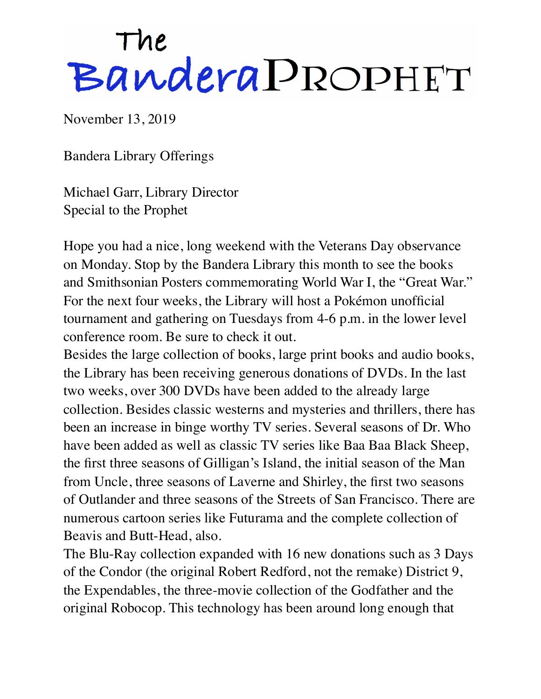## The BanderaPROPHET

November 13, 2019

Bandera Library Offerings

Michael Garr, Library Director Special to the Prophet

Hope you had a nice, long weekend with the Veterans Day observance on Monday. Stop by the Bandera Library this month to see the books and Smithsonian Posters commemorating World War I, the "Great War." For the next four weeks, the Library will host a Pokémon unofficial tournament and gathering on Tuesdays from 4-6 p.m. in the lower level conference room. Be sure to check it out.

Besides the large collection of books, large print books and audio books, the Library has been receiving generous donations of DVDs. In the last two weeks, over 300 DVDs have been added to the already large collection. Besides classic westerns and mysteries and thrillers, there has been an increase in binge worthy TV series. Several seasons of Dr. Who have been added as well as classic TV series like Baa Baa Black Sheep, the first three seasons of Gilligan's Island, the initial season of the Man from Uncle, three seasons of Laverne and Shirley, the first two seasons of Outlander and three seasons of the Streets of San Francisco. There are numerous cartoon series like Futurama and the complete collection of Beavis and Butt-Head, also.

The Blu-Ray collection expanded with 16 new donations such as 3 Days of the Condor (the original Robert Redford, not the remake) District 9, the Expendables, the three-movie collection of the Godfather and the original Robocop. This technology has been around long enough that